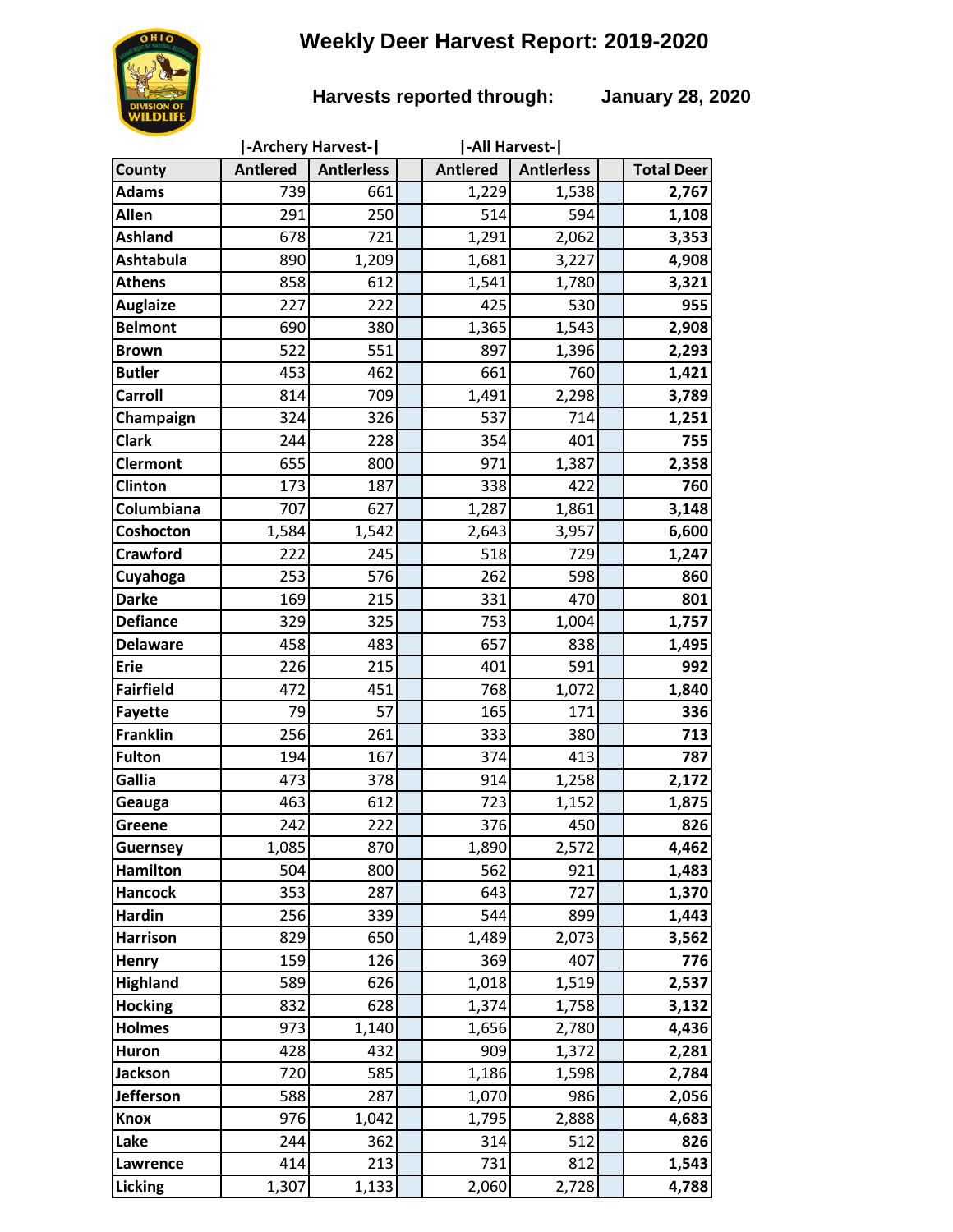# **Weekly Deer Harvest Report: 2019-2020**



### **Harvests reported through: January 28, 2020**

|                  |                 | -Archery Harvest- | -All Harvest-   |                   |                   |
|------------------|-----------------|-------------------|-----------------|-------------------|-------------------|
| <b>County</b>    | <b>Antlered</b> | <b>Antlerless</b> | <b>Antlered</b> | <b>Antlerless</b> | <b>Total Deer</b> |
| <b>Adams</b>     | 739             | 661               | 1,229           | 1,538             | 2,767             |
| Allen            | 291             | 250               | 514             | 594               | 1,108             |
| <b>Ashland</b>   | 678             | 721               | 1,291           | 2,062             | 3,353             |
| <b>Ashtabula</b> | 890             | 1,209             | 1,681           | 3,227             | 4,908             |
| <b>Athens</b>    | 858             | 612               | 1,541           | 1,780             | 3,321             |
| <b>Auglaize</b>  | 227             | 222               | 425             | 530               | 955               |
| <b>Belmont</b>   | 690             | 380               | 1,365           | 1,543             | 2,908             |
| <b>Brown</b>     | 522             | 551               | 897             | 1,396             | 2,293             |
| <b>Butler</b>    | 453             | 462               | 661             | 760               | 1,421             |
| <b>Carroll</b>   | 814             | 709               | 1,491           | 2,298             | 3,789             |
| Champaign        | 324             | 326               | 537             | 714               | 1,251             |
| <b>Clark</b>     | 244             | 228               | 354             | 401               | 755               |
| <b>Clermont</b>  | 655             | 800               | 971             | 1,387             | 2,358             |
| Clinton          | 173             | 187               | 338             | 422               | 760               |
| Columbiana       | 707             | 627               | 1,287           | 1,861             | 3,148             |
| Coshocton        | 1,584           | 1,542             | 2,643           | 3,957             | 6,600             |
| <b>Crawford</b>  | 222             | 245               | 518             | 729               | 1,247             |
| Cuyahoga         | 253             | 576               | 262             | 598               | 860               |
| <b>Darke</b>     | 169             | 215               | 331             | 470               | 801               |
| <b>Defiance</b>  | 329             | 325               | 753             | 1,004             | 1,757             |
| <b>Delaware</b>  | 458             | 483               | 657             | 838               | 1,495             |
| <b>Erie</b>      | 226             | 215               | 401             | 591               | 992               |
| <b>Fairfield</b> | 472             | 451               | 768             | 1,072             | 1,840             |
| <b>Fayette</b>   | 79              | 57                | 165             | 171               | 336               |
| <b>Franklin</b>  | 256             | 261               | 333             | 380               | 713               |
| <b>Fulton</b>    | 194             | 167               | 374             | 413               | 787               |
| Gallia           | 473             | 378               | 914             | 1,258             | 2,172             |
| Geauga           | 463             | 612               | 723             | 1,152             | 1,875             |
| Greene           | 242             | 222               | 376             | 450               | 826               |
| <b>Guernsey</b>  | 1,085           | 870               | 1,890           | 2,572             | 4,462             |
| <b>Hamilton</b>  | 504             | 800               | 562             | 921               | 1,483             |
| <b>Hancock</b>   | 353             | 287               | 643             | 727               | 1,370             |
| <b>Hardin</b>    | 256             | 339               | 544             | 899               | 1,443             |
| <b>Harrison</b>  | 829             | 650               | 1,489           | 2,073             | 3,562             |
| Henry            | 159             | 126               | 369             | 407               | 776               |
| <b>Highland</b>  | 589             | 626               | 1,018           | 1,519             | 2,537             |
| <b>Hocking</b>   | 832             | 628               | 1,374           | 1,758             | 3,132             |
| <b>Holmes</b>    | 973             | 1,140             | 1,656           | 2,780             | 4,436             |
| Huron            | 428             | 432               | 909             | 1,372             | 2,281             |
| Jackson          | 720             | 585               | 1,186           | 1,598             | 2,784             |
| <b>Jefferson</b> | 588             | 287               | 1,070           | 986               | 2,056             |
| <b>Knox</b>      | 976             | 1,042             | 1,795           | 2,888             | 4,683             |
| Lake             | 244             | 362               | 314             | 512               | 826               |
| Lawrence         | 414             | 213               | 731             | 812               | 1,543             |
| Licking          | 1,307           | 1,133             | 2,060           | 2,728             | 4,788             |